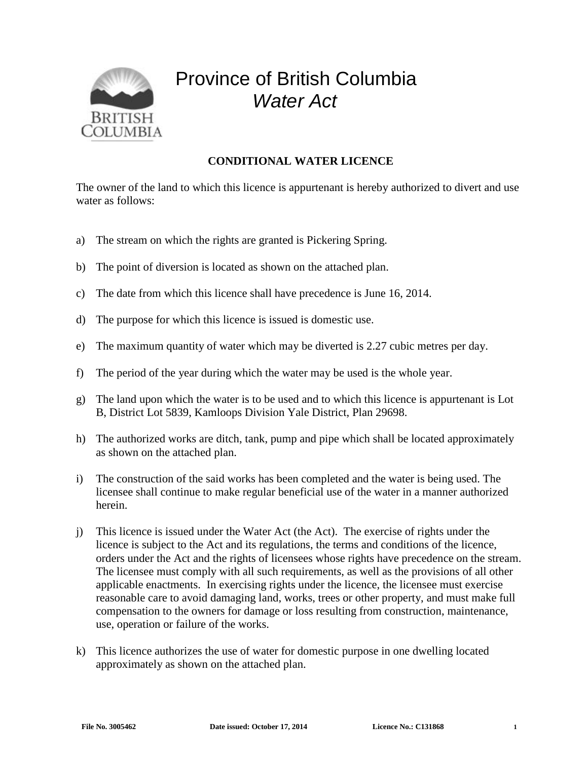

## Province of British Columbia *Water Act*

## **CONDITIONAL WATER LICENCE**

The owner of the land to which this licence is appurtenant is hereby authorized to divert and use water as follows:

- a) The stream on which the rights are granted is Pickering Spring.
- b) The point of diversion is located as shown on the attached plan.
- c) The date from which this licence shall have precedence is June 16, 2014.
- d) The purpose for which this licence is issued is domestic use.
- e) The maximum quantity of water which may be diverted is 2.27 cubic metres per day.
- f) The period of the year during which the water may be used is the whole year.
- g) The land upon which the water is to be used and to which this licence is appurtenant is Lot B, District Lot 5839, Kamloops Division Yale District, Plan 29698.
- h) The authorized works are ditch, tank, pump and pipe which shall be located approximately as shown on the attached plan.
- i) The construction of the said works has been completed and the water is being used. The licensee shall continue to make regular beneficial use of the water in a manner authorized herein.
- j) This licence is issued under the Water Act (the Act). The exercise of rights under the licence is subject to the Act and its regulations, the terms and conditions of the licence, orders under the Act and the rights of licensees whose rights have precedence on the stream. The licensee must comply with all such requirements, as well as the provisions of all other applicable enactments. In exercising rights under the licence, the licensee must exercise reasonable care to avoid damaging land, works, trees or other property, and must make full compensation to the owners for damage or loss resulting from construction, maintenance, use, operation or failure of the works.
- k) This licence authorizes the use of water for domestic purpose in one dwelling located approximately as shown on the attached plan.